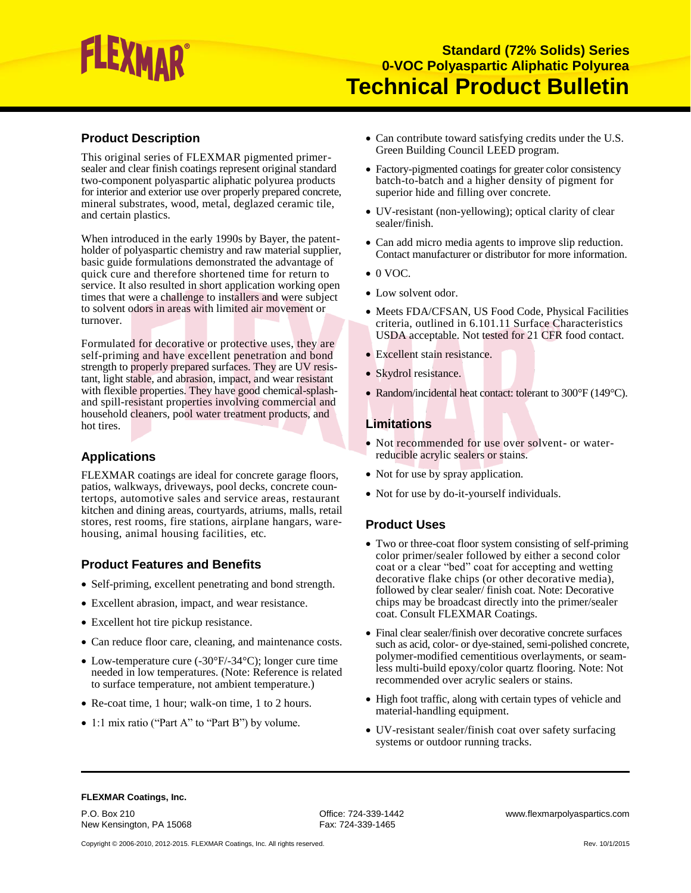# EXMAR

## **Product Description**

This original series of FLEXMAR pigmented primersealer and clear finish coatings represent original standard two-component polyaspartic aliphatic polyurea products for interior and exterior use over properly prepared concrete, mineral substrates, wood, metal, deglazed ceramic tile, and certain plastics.

When introduced in the early 1990s by Bayer, the patentholder of polyaspartic chemistry and raw material supplier, basic guide formulations demonstrated the advantage of quick cure and therefore shortened time for return to service. It also resulted in short application working open times that were a challenge to installers and were subject to solvent odors in areas with limited air movement or turnover.

Formulated for decorative or protective uses, they are self-priming and have excellent penetration and bond strength to properly prepared surfaces. They are UV resistant, light stable, and abrasion, impact, and wear resistant with flexible properties. They have good chemical-splashand spill-resistant properties involving commercial and household cleaners, pool water treatment products, and hot tires.

## **Applications**

FLEXMAR coatings are ideal for concrete garage floors, patios, walkways, driveways, pool decks, concrete countertops, automotive sales and service areas, restaurant kitchen and dining areas, courtyards, atriums, malls, retail stores, rest rooms, fire stations, airplane hangars, warehousing, animal housing facilities, etc.

## **Product Features and Benefits**

- Self-priming, excellent penetrating and bond strength.
- Excellent abrasion, impact, and wear resistance.
- Excellent hot tire pickup resistance.
- Can reduce floor care, cleaning, and maintenance costs.
- Low-temperature cure (-30°F/-34°C); longer cure time needed in low temperatures. (Note: Reference is related to surface temperature, not ambient temperature.)
- Re-coat time, 1 hour; walk-on time, 1 to 2 hours.
- 1:1 mix ratio ("Part A" to "Part B") by volume.
- Can contribute toward satisfying credits under the U.S. Green Building Council LEED program.
- Factory-pigmented coatings for greater color consistency batch-to-batch and a higher density of pigment for superior hide and filling over concrete.
- UV-resistant (non-yellowing); optical clarity of clear sealer/finish.
- Can add micro media agents to improve slip reduction. Contact manufacturer or distributor for more information.
- $\bullet$  0 VOC.
- Low solvent odor.
- Meets FDA/CFSAN, US Food Code, Physical Facilities criteria, outlined in 6.101.11 Surface Characteristics USDA acceptable. Not tested for 21 CFR food contact.
- Excellent stain resistance.
- Skydrol resistance.
- Random/incidental heat contact: tolerant to 300°F (149°C).

## **Limitations**

- Not recommended for use over solvent- or waterreducible acrylic sealers or stains.
- Not for use by spray application.
- Not for use by do-it-yourself individuals.

#### **Product Uses**

- Two or three-coat floor system consisting of self-priming color primer/sealer followed by either a second color coat or a clear "bed" coat for accepting and wetting decorative flake chips (or other decorative media), followed by clear sealer/ finish coat. Note: Decorative chips may be broadcast directly into the primer/sealer coat. Consult FLEXMAR Coatings.
- Final clear sealer/finish over decorative concrete surfaces such as acid, color- or dye-stained, semi-polished concrete, polymer-modified cementitious overlayments, or seamless multi-build epoxy/color quartz flooring. Note: Not recommended over acrylic sealers or stains.
- High foot traffic, along with certain types of vehicle and material-handling equipment.
- UV-resistant sealer/finish coat over safety surfacing systems or outdoor running tracks.

#### **FLEXMAR Coatings, Inc.**

P.O. Box 210<br>
New Kensington, PA 15068 The South Control of Fax: 724-339-1465<br>
Fax: 724-339-1465 New Kensington, PA 15068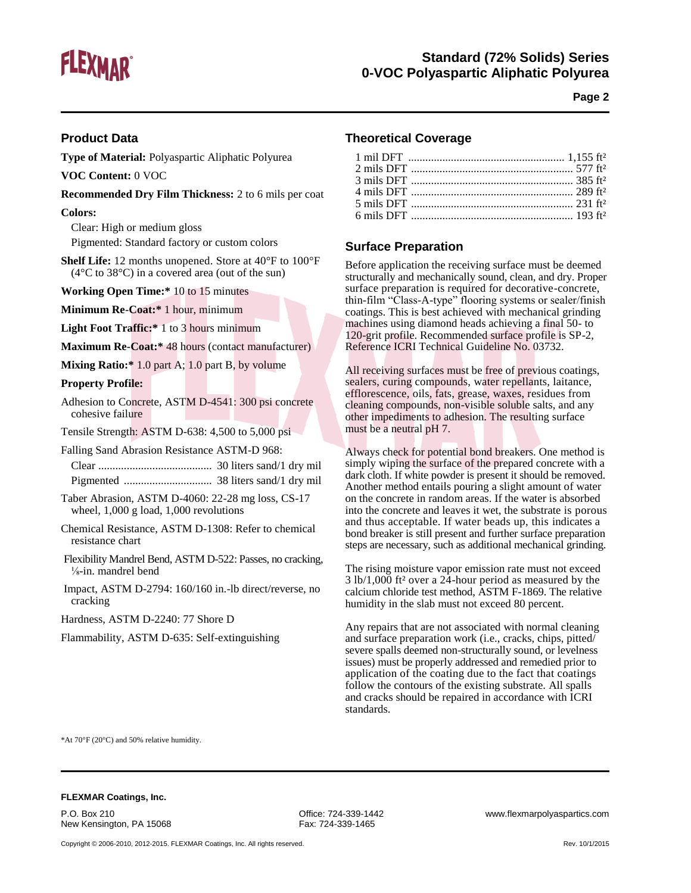

# **Standard (72% Solids) Series 0-VOC Polyaspartic Aliphatic Polyurea**

**Page 2**

#### **Product Data**

**Type of Material:** Polyaspartic Aliphatic Polyurea

**VOC Content:** 0 VOC

**Recommended Dry Film Thickness:** 2 to 6 mils per coat

**Colors:**

Clear: High or medium gloss

Pigmented: Standard factory or custom colors

**Shelf Life:** 12 months unopened. Store at 40°F to 100°F (4°C to 38°C) in a covered area (out of the sun)

**Working Open Time:\*** 10 to 15 minutes

**Minimum Re-Coat:\*** 1 hour, minimum

**Light Foot Traffic:\*** 1 to 3 hours minimum

**Maximum Re-Coat:\*** 48 hours (contact manufacturer)

**Mixing Ratio:\*** 1.0 part A; 1.0 part B, by volume

#### **Property Profile:**

Adhesion to Concrete, ASTM D-4541: 300 psi concrete cohesive failure

Tensile Strength: ASTM D-638: 4,500 to 5,000 psi

Falling Sand Abrasion Resistance ASTM-D 968:

Clear ........................................ 30 liters sand/1 dry mil Pigmented ............................... 38 liters sand/1 dry mil

Taber Abrasion, ASTM D-4060: 22-28 mg loss, CS-17 wheel, 1,000 g load, 1,000 revolutions

Chemical Resistance, ASTM D-1308: Refer to chemical resistance chart

Flexibility Mandrel Bend, ASTM D-522: Passes, no cracking, ⅛-in. mandrel bend

Impact, ASTM D-2794: 160/160 in.-lb direct/reverse, no cracking

Hardness, ASTM D-2240: 77 Shore D

Flammability, ASTM D-635: Self-extinguishing

#### **Theoretical Coverage**

#### **Surface Preparation**

Before application the receiving surface must be deemed structurally and mechanically sound, clean, and dry. Proper surface preparation is required for decorative-concrete, thin-film "Class-A-type" flooring systems or sealer/finish coatings. This is best achieved with mechanical grinding machines using diamond heads achieving a final 50- to 120-grit profile. Recommended surface profile is SP-2, Reference ICRI Technical Guideline No. 03732.

All receiving surfaces must be free of previous coatings, sealers, curing compounds, water repellants, laitance, efflorescence, oils, fats, grease, waxes, residues from cleaning compounds, non-visible soluble salts, and any other impediments to adhesion. The resulting surface must be a neutral pH 7.

Always check for potential bond breakers. One method is simply wiping the surface of the prepared concrete with a dark cloth. If white powder is present it should be removed. Another method entails pouring a slight amount of water on the concrete in random areas. If the water is absorbed into the concrete and leaves it wet, the substrate is porous and thus acceptable. If water beads up, this indicates a bond breaker is still present and further surface preparation steps are necessary, such as additional mechanical grinding.

The rising moisture vapor emission rate must not exceed 3 lb/1,000 ft² over a 24-hour period as measured by the calcium chloride test method, ASTM F-1869. The relative humidity in the slab must not exceed 80 percent.

Any repairs that are not associated with normal cleaning and surface preparation work (i.e., cracks, chips, pitted/ severe spalls deemed non-structurally sound, or levelness issues) must be properly addressed and remedied prior to application of the coating due to the fact that coatings follow the contours of the existing substrate. All spalls and cracks should be repaired in accordance with ICRI standards.

\*At 70°F (20°C) and 50% relative humidity.

#### **FLEXMAR Coatings, Inc.**

P.O. Box 210 Office: 724-339-1442 www.flexmarpolyaspartics.com New Kensington, PA 15068 Fax: 724-339-1465

Copyright © 2006-2010, 2012-2015. FLEXMAR Coatings, Inc. All rights reserved. Rev. 10/1/2015